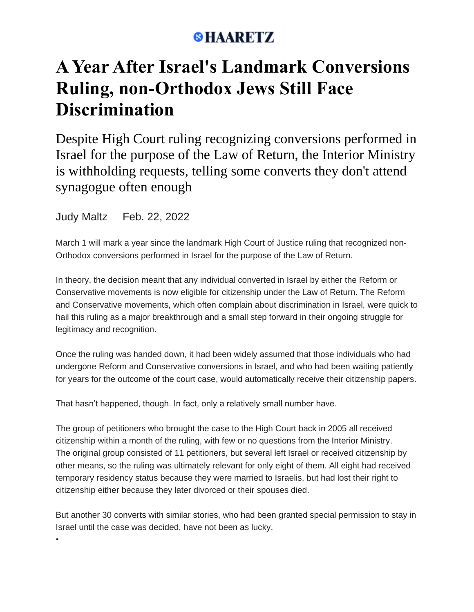## **SHAARETZ**

## **A Year After Israel's Landmark Conversions Ruling, non-Orthodox Jews Still Face Discrimination**

Despite High Court ruling recognizing conversions performed in Israel for the purpose of the Law of Return, the Interior Ministry is withholding requests, telling some converts they don't attend synagogue often enough

Judy Maltz Feb. 22, 2022

•

March 1 will mark a year since the landmark High Court of Justice ruling that recognized non-Orthodox conversions performed in Israel for the purpose of the Law of Return.

In theory, the decision meant that any individual converted in Israel by either the Reform or Conservative movements is now eligible for citizenship under the Law of Return. The Reform and Conservative movements, which often complain about discrimination in Israel, were quick to hail this ruling as a major breakthrough and a small step forward in their ongoing struggle for legitimacy and recognition.

Once the ruling was handed down, it had been widely assumed that those individuals who had undergone Reform and Conservative conversions in Israel, and who had been waiting patiently for years for the outcome of the court case, would automatically receive their citizenship papers.

That hasn't happened, though. In fact, only a relatively small number have.

The group of petitioners who brought the case to the High Court back in 2005 all received citizenship within a month of the ruling, with few or no questions from the Interior Ministry. The original group consisted of 11 petitioners, but several left Israel or received citizenship by other means, so the ruling was ultimately relevant for only eight of them. All eight had received temporary residency status because they were married to Israelis, but had lost their right to citizenship either because they later divorced or their spouses died.

But another 30 converts with similar stories, who had been granted special permission to stay in Israel until the case was decided, have not been as lucky.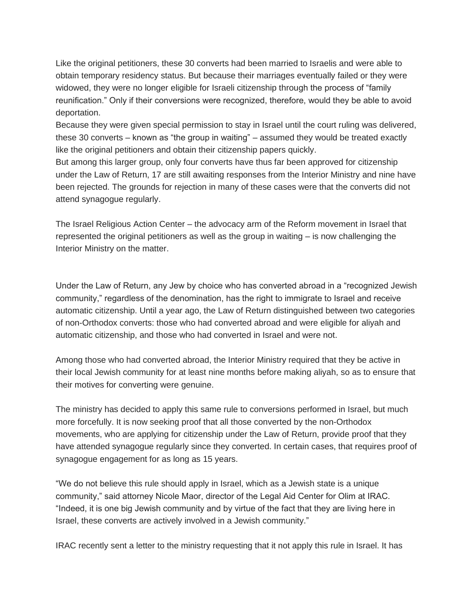Like the original petitioners, these 30 converts had been married to Israelis and were able to obtain temporary residency status. But because their marriages eventually failed or they were widowed, they were no longer eligible for Israeli citizenship through the process of "family reunification." Only if their conversions were recognized, therefore, would they be able to avoid deportation.

Because they were given special permission to stay in Israel until the court ruling was delivered, these 30 converts – known as "the group in waiting" – assumed they would be treated exactly like the original petitioners and obtain their citizenship papers quickly.

But among this larger group, only four converts have thus far been approved for citizenship under the Law of Return, 17 are still awaiting responses from the Interior Ministry and nine have been rejected. The grounds for rejection in many of these cases were that the converts did not attend synagogue regularly.

The Israel Religious Action Center – the advocacy arm of the Reform movement in Israel that represented the original petitioners as well as the group in waiting – is now challenging the Interior Ministry on the matter.

Under the Law of Return, any Jew by choice who has converted abroad in a "recognized Jewish community," regardless of the denomination, has the right to immigrate to Israel and receive automatic citizenship. Until a year ago, the Law of Return distinguished between two categories of non-Orthodox converts: those who had converted abroad and were eligible for aliyah and automatic citizenship, and those who had converted in Israel and were not.

Among those who had converted abroad, the Interior Ministry required that they be active in their local Jewish community for at least nine months before making aliyah, so as to ensure that their motives for converting were genuine.

The ministry has decided to apply this same rule to conversions performed in Israel, but much more forcefully. It is now seeking proof that all those converted by the non-Orthodox movements, who are applying for citizenship under the Law of Return, provide proof that they have attended synagogue regularly since they converted. In certain cases, that requires proof of synagogue engagement for as long as 15 years.

"We do not believe this rule should apply in Israel, which as a Jewish state is a unique community," said attorney Nicole Maor, director of the Legal Aid Center for Olim at IRAC. "Indeed, it is one big Jewish community and by virtue of the fact that they are living here in Israel, these converts are actively involved in a Jewish community."

IRAC recently sent a letter to the ministry requesting that it not apply this rule in Israel. It has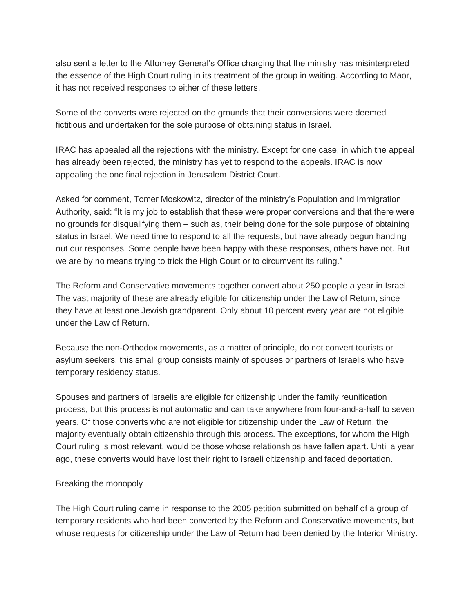also sent a letter to the Attorney General's Office charging that the ministry has misinterpreted the essence of the High Court ruling in its treatment of the group in waiting. According to Maor, it has not received responses to either of these letters.

Some of the converts were rejected on the grounds that their conversions were deemed fictitious and undertaken for the sole purpose of obtaining status in Israel.

IRAC has appealed all the rejections with the ministry. Except for one case, in which the appeal has already been rejected, the ministry has yet to respond to the appeals. IRAC is now appealing the one final rejection in Jerusalem District Court.

Asked for comment, Tomer Moskowitz, director of the ministry's Population and Immigration Authority, said: "It is my job to establish that these were proper conversions and that there were no grounds for disqualifying them – such as, their being done for the sole purpose of obtaining status in Israel. We need time to respond to all the requests, but have already begun handing out our responses. Some people have been happy with these responses, others have not. But we are by no means trying to trick the High Court or to circumvent its ruling."

The Reform and Conservative movements together convert about 250 people a year in Israel. The vast majority of these are already eligible for citizenship under the Law of Return, since they have at least one Jewish grandparent. Only about 10 percent every year are not eligible under the Law of Return.

Because the non-Orthodox movements, as a matter of principle, do not convert tourists or asylum seekers, this small group consists mainly of spouses or partners of Israelis who have temporary residency status.

Spouses and partners of Israelis are eligible for citizenship under the family reunification process, but this process is not automatic and can take anywhere from four-and-a-half to seven years. Of those converts who are not eligible for citizenship under the Law of Return, the majority eventually obtain citizenship through this process. The exceptions, for whom the High Court ruling is most relevant, would be those whose relationships have fallen apart. Until a year ago, these converts would have lost their right to Israeli citizenship and faced deportation.

## Breaking the monopoly

The High Court ruling came in response to the 2005 petition submitted on behalf of a group of temporary residents who had been converted by the Reform and Conservative movements, but whose requests for citizenship under the Law of Return had been denied by the Interior Ministry.